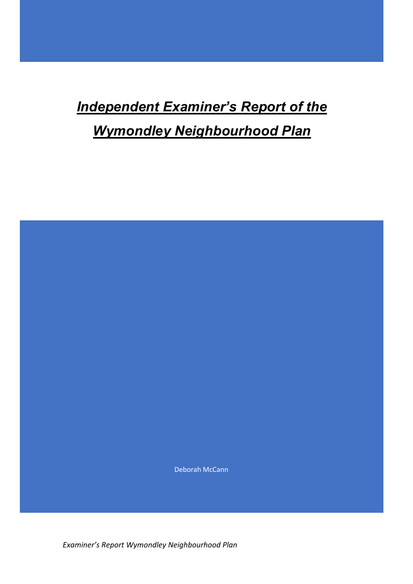# *Independent Examiner's Report of the*

# *Wymondley Neighbourhood Plan*

Deborah McCann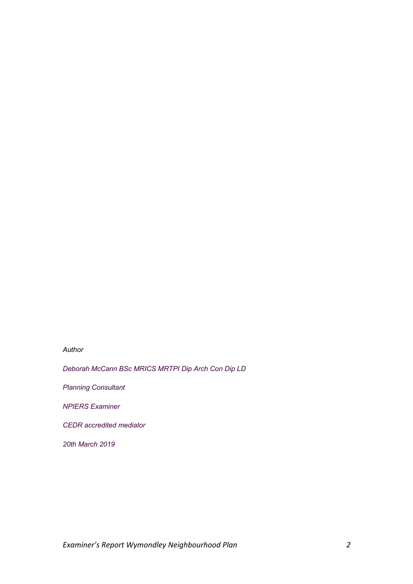# *Author*

*Deborah McCann BSc MRICS MRTPI Dip Arch Con Dip LD*

*Planning Consultant*

*NPIERS Examiner*

*CEDR accredited mediator*

*20th March 2019*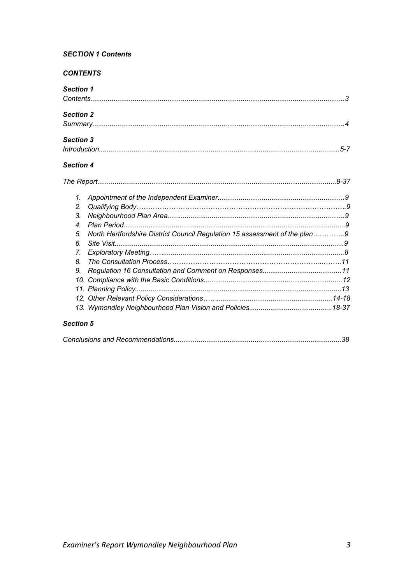# **SECTION 1 Contents**

# **CONTENTS**

| <b>Section 1</b> |                                                                            |  |
|------------------|----------------------------------------------------------------------------|--|
|                  |                                                                            |  |
| <b>Section 2</b> |                                                                            |  |
|                  |                                                                            |  |
| <b>Section 3</b> |                                                                            |  |
|                  |                                                                            |  |
| <b>Section 4</b> |                                                                            |  |
|                  |                                                                            |  |
| 1.               |                                                                            |  |
| 2.               |                                                                            |  |
| 3.               |                                                                            |  |
| $\overline{4}$   |                                                                            |  |
| 5.               | North Hertfordshire District Council Regulation 15 assessment of the plan9 |  |
| 6.               |                                                                            |  |
| $\overline{L}$   |                                                                            |  |
| 8.               |                                                                            |  |
| 9.               |                                                                            |  |
|                  |                                                                            |  |
|                  |                                                                            |  |
|                  |                                                                            |  |
|                  |                                                                            |  |
|                  |                                                                            |  |

# Section 5

|--|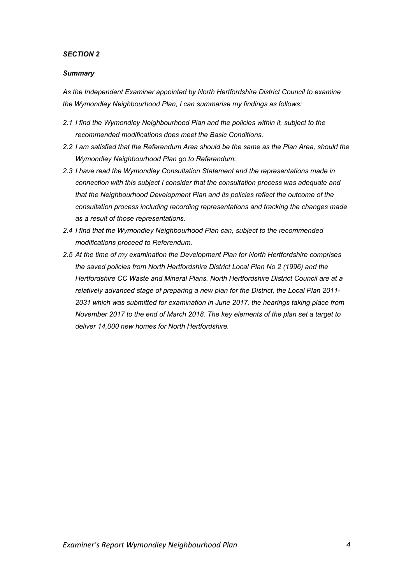# *SECTION 2*

# *Summary*

*As the Independent Examiner appointed by North Hertfordshire District Council to examine the Wymondley Neighbourhood Plan, I can summarise my findings as follows:*

- *2.1 I find the Wymondley Neighbourhood Plan and the policies within it, subject to the recommended modifications does meet the Basic Conditions.*
- *2.2 I am satisfied that the Referendum Area should be the same as the Plan Area, should the Wymondley Neighbourhood Plan go to Referendum.*
- *2.3 I have read the Wymondley Consultation Statement and the representations made in connection with this subject I consider that the consultation process was adequate and that the Neighbourhood Development Plan and its policies reflect the outcome of the consultation process including recording representations and tracking the changes made as a result of those representations.*
- *2.4 I find that the Wymondley Neighbourhood Plan can, subject to the recommended modifications proceed to Referendum.*
- *2.5 At the time of my examination the Development Plan for North Hertfordshire comprises the saved policies from North Hertfordshire District Local Plan No 2 (1996) and the Hertfordshire CC Waste and Mineral Plans. North Hertfordshire District Council are at a relatively advanced stage of preparing a new plan for the District, the Local Plan 2011- 2031 which was submitted for examination in June 2017, the hearings taking place from November 2017 to the end of March 2018. The key elements of the plan set a target to deliver 14,000 new homes for North Hertfordshire.*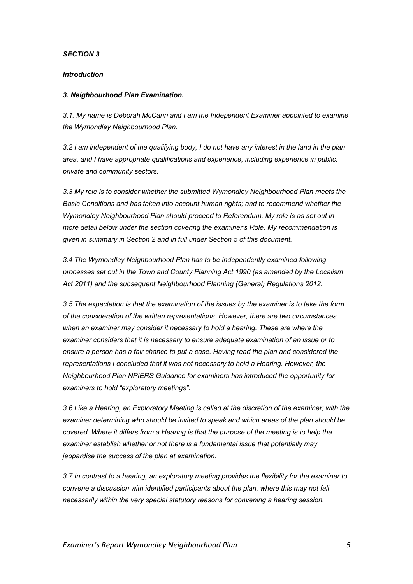# *SECTION 3*

## *Introduction*

#### *3. Neighbourhood Plan Examination.*

*3.1. My name is Deborah McCann and I am the Independent Examiner appointed to examine the Wymondley Neighbourhood Plan.*

*3.2 I am independent of the qualifying body, I do not have any interest in the land in the plan area, and I have appropriate qualifications and experience, including experience in public, private and community sectors.*

*3.3 My role is to consider whether the submitted Wymondley Neighbourhood Plan meets the Basic Conditions and has taken into account human rights; and to recommend whether the Wymondley Neighbourhood Plan should proceed to Referendum. My role is as set out in more detail below under the section covering the examiner's Role. My recommendation is given in summary in Section 2 and in full under Section 5 of this document.*

*3.4 The Wymondley Neighbourhood Plan has to be independently examined following processes set out in the Town and County Planning Act 1990 (as amended by the Localism Act 2011) and the subsequent Neighbourhood Planning (General) Regulations 2012.*

*3.5 The expectation is that the examination of the issues by the examiner is to take the form of the consideration of the written representations. However, there are two circumstances when an examiner may consider it necessary to hold a hearing. These are where the examiner considers that it is necessary to ensure adequate examination of an issue or to ensure a person has a fair chance to put a case. Having read the plan and considered the representations I concluded that it was not necessary to hold a Hearing. However, the Neighbourhood Plan NPIERS Guidance for examiners has introduced the opportunity for examiners to hold "exploratory meetings".*

*3.6 Like a Hearing, an Exploratory Meeting is called at the discretion of the examiner; with the examiner determining who should be invited to speak and which areas of the plan should be covered. Where it differs from a Hearing is that the purpose of the meeting is to help the examiner establish whether or not there is a fundamental issue that potentially may jeopardise the success of the plan at examination.* 

*3.7 In contrast to a hearing, an exploratory meeting provides the flexibility for the examiner to convene a discussion with identified participants about the plan, where this may not fall necessarily within the very special statutory reasons for convening a hearing session.*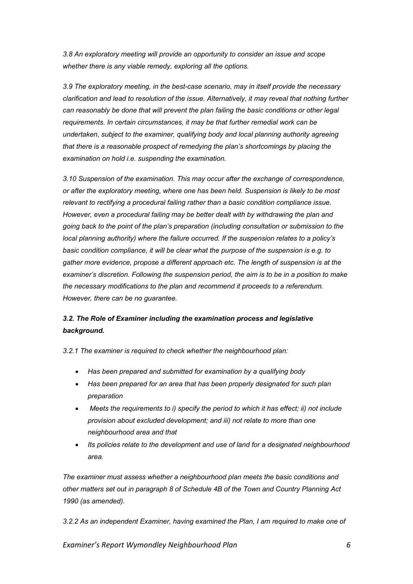*3.8 An exploratory meeting will provide an opportunity to consider an issue and scope whether there is any viable remedy, exploring all the options.* 

*3.9 The exploratory meeting, in the best-case scenario, may in itself provide the necessary clarification and lead to resolution of the issue. Alternatively, it may reveal that nothing further can reasonably be done that will prevent the plan failing the basic conditions or other legal requirements. In certain circumstances, it may be that further remedial work can be undertaken, subject to the examiner, qualifying body and local planning authority agreeing that there is a reasonable prospect of remedying the plan's shortcomings by placing the examination on hold i.e. suspending the examination.*

*3.10 Suspension of the examination. This may occur after the exchange of correspondence, or after the exploratory meeting, where one has been held. Suspension is likely to be most relevant to rectifying a procedural failing rather than a basic condition compliance issue. However, even a procedural failing may be better dealt with by withdrawing the plan and going back to the point of the plan's preparation (including consultation or submission to the local planning authority) where the failure occurred. If the suspension relates to a policy's basic condition compliance, it will be clear what the purpose of the suspension is e.g. to gather more evidence, propose a different approach etc. The length of suspension is at the examiner's discretion. Following the suspension period, the aim is to be in a position to make the necessary modifications to the plan and recommend it proceeds to a referendum. However, there can be no guarantee.* 

# *3.2. The Role of Examiner including the examination process and legislative background.*

*3.2.1 The examiner is required to check whether the neighbourhood plan:* 

- *Has been prepared and submitted for examination by a qualifying body*
- *Has been prepared for an area that has been properly designated for such plan preparation*
- *Meets the requirements to i) specify the period to which it has effect; ii) not include provision about excluded development; and iii) not relate to more than one neighbourhood area and that*
- *Its policies relate to the development and use of land for a designated neighbourhood area.*

*The examiner must assess whether a neighbourhood plan meets the basic conditions and other matters set out in paragraph 8 of Schedule 4B of the Town and Country Planning Act 1990 (as amended).* 

*3.2.2 As an independent Examiner, having examined the Plan, I am required to make one of*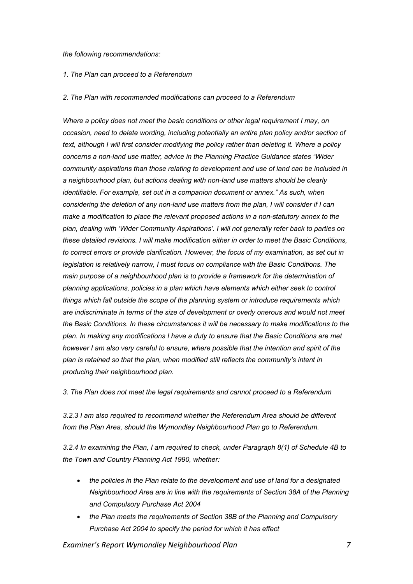#### *the following recommendations:*

# *1. The Plan can proceed to a Referendum*

## *2. The Plan with recommended modifications can proceed to a Referendum*

*Where a policy does not meet the basic conditions or other legal requirement I may, on occasion, need to delete wording, including potentially an entire plan policy and/or section of text, although I will first consider modifying the policy rather than deleting it. Where a policy concerns a non-land use matter, advice in the Planning Practice Guidance states "Wider community aspirations than those relating to development and use of land can be included in a neighbourhood plan, but actions dealing with non-land use matters should be clearly identifiable. For example, set out in a companion document or annex." As such, when considering the deletion of any non-land use matters from the plan, I will consider if I can make a modification to place the relevant proposed actions in a non-statutory annex to the plan, dealing with 'Wider Community Aspirations'. I will not generally refer back to parties on these detailed revisions. I will make modification either in order to meet the Basic Conditions, to correct errors or provide clarification. However, the focus of my examination, as set out in legislation is relatively narrow, I must focus on compliance with the Basic Conditions. The main purpose of a neighbourhood plan is to provide a framework for the determination of planning applications, policies in a plan which have elements which either seek to control things which fall outside the scope of the planning system or introduce requirements which are indiscriminate in terms of the size of development or overly onerous and would not meet the Basic Conditions. In these circumstances it will be necessary to make modifications to the plan. In making any modifications I have a duty to ensure that the Basic Conditions are met however I am also very careful to ensure, where possible that the intention and spirit of the plan is retained so that the plan, when modified still reflects the community's intent in producing their neighbourhood plan.*

*3. The Plan does not meet the legal requirements and cannot proceed to a Referendum* 

*3.2.3 I am also required to recommend whether the Referendum Area should be different from the Plan Area, should the Wymondley Neighbourhood Plan go to Referendum.* 

*3.2.4 In examining the Plan, I am required to check, under Paragraph 8(1) of Schedule 4B to the Town and Country Planning Act 1990, whether:* 

- *the policies in the Plan relate to the development and use of land for a designated Neighbourhood Area are in line with the requirements of Section 38A of the Planning and Compulsory Purchase Act 2004*
- *the Plan meets the requirements of Section 38B of the Planning and Compulsory Purchase Act 2004 to specify the period for which it has effect*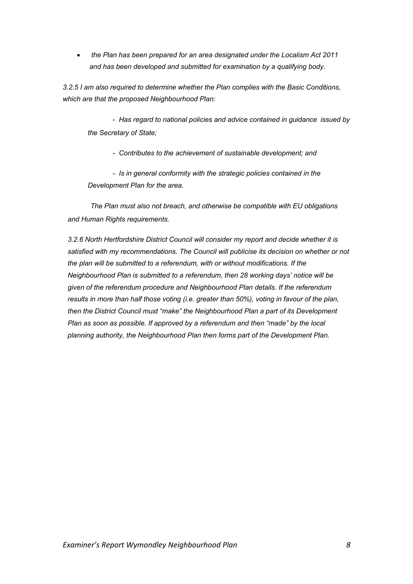• *the Plan has been prepared for an area designated under the Localism Act 2011 and has been developed and submitted for examination by a qualifying body.*

*3.2.5 I am also required to determine whether the Plan complies with the Basic Conditions, which are that the proposed Neighbourhood Plan:*

*- Has regard to national policies and advice contained in guidance issued by the Secretary of State;* 

*- Contributes to the achievement of sustainable development; and* 

*- Is in general conformity with the strategic policies contained in the Development Plan for the area.* 

 *The Plan must also not breach, and otherwise be compatible with EU obligations and Human Rights requirements.*

*3.2.6 North Hertfordshire District Council will consider my report and decide whether it is satisfied with my recommendations. The Council will publicise its decision on whether or not the plan will be submitted to a referendum, with or without modifications. If the Neighbourhood Plan is submitted to a referendum, then 28 working days' notice will be given of the referendum procedure and Neighbourhood Plan details. If the referendum results in more than half those voting (i.e. greater than 50%), voting in favour of the plan, then the District Council must "make" the Neighbourhood Plan a part of its Development Plan as soon as possible. If approved by a referendum and then "made" by the local planning authority, the Neighbourhood Plan then forms part of the Development Plan.*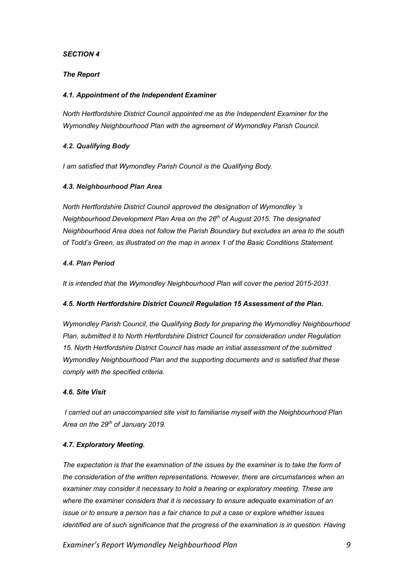# *SECTION 4*

# *The Report*

# *4.1. Appointment of the Independent Examiner*

*North Hertfordshire District Council appointed me as the Independent Examiner for the Wymondley Neighbourhood Plan with the agreement of Wymondley Parish Council.* 

# *4.2. Qualifying Body*

*I am satisfied that Wymondley Parish Council is the Qualifying Body.* 

# *4.3. Neighbourhood Plan Area*

*North Hertfordshire District Council approved the designation of Wymondley 's Neighbourhood Development Plan Area on the 26th of August 2015. The designated Neighbourhood Area does not follow the Parish Boundary but excludes an area to the south of Todd's Green, as illustrated on the map in annex 1 of the Basic Conditions Statement.*

# *4.4. Plan Period*

*It is intended that the Wymondley Neighbourhood Plan will cover the period 2015-2031.*

# *4.5. North Hertfordshire District Council Regulation 15 Assessment of the Plan.*

*Wymondley Parish Council, the Qualifying Body for preparing the Wymondley Neighbourhood Plan, submitted it to North Hertfordshire District Council for consideration under Regulation 15. North Hertfordshire District Council has made an initial assessment of the submitted Wymondley Neighbourhood Plan and the supporting documents and is satisfied that these comply with the specified criteria.* 

# *4.6. Site Visit*

*I carried out an unaccompanied site visit to familiarise myself with the Neighbourhood Plan Area on the 29th of January 2019.*

# *4.7. Exploratory Meeting.*

The expectation is that the examination of the issues by the examiner is to take the form of *the consideration of the written representations. However, there are circumstances when an examiner may consider it necessary to hold a hearing or exploratory meeting. These are where the examiner considers that it is necessary to ensure adequate examination of an issue or to ensure a person has a fair chance to put a case or explore whether issues identified are of such significance that the progress of the examination is in question. Having*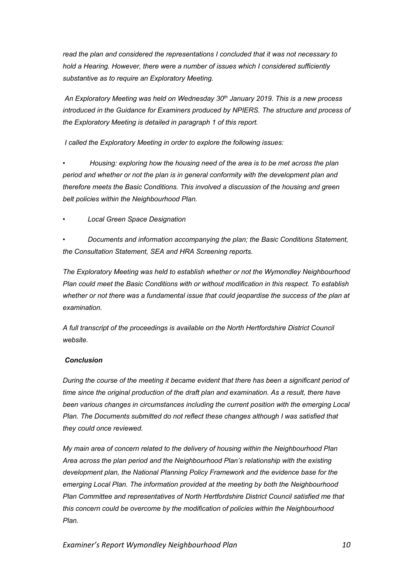*read the plan and considered the representations I concluded that it was not necessary to hold a Hearing. However, there were a number of issues which I considered sufficiently substantive as to require an Exploratory Meeting.*

*An Exploratory Meeting was held on Wednesday 30th January 2019. This is a new process introduced in the Guidance for Examiners produced by NPIERS. The structure and process of the Exploratory Meeting is detailed in paragraph 1 of this report.*

*I called the Exploratory Meeting in order to explore the following issues:*

*• Housing: exploring how the housing need of the area is to be met across the plan period and whether or not the plan is in general conformity with the development plan and therefore meets the Basic Conditions. This involved a discussion of the housing and green belt policies within the Neighbourhood Plan.* 

*• Local Green Space Designation*

*• Documents and information accompanying the plan; the Basic Conditions Statement, the Consultation Statement, SEA and HRA Screening reports.*

*The Exploratory Meeting was held to establish whether or not the Wymondley Neighbourhood Plan could meet the Basic Conditions with or without modification in this respect. To establish whether or not there was a fundamental issue that could jeopardise the success of the plan at examination.* 

*A full transcript of the proceedings is available on the North Hertfordshire District Council website.*

# *Conclusion*

*During the course of the meeting it became evident that there has been a significant period of time since the original production of the draft plan and examination. As a result, there have been various changes in circumstances including the current position with the emerging Local Plan. The Documents submitted do not reflect these changes although I was satisfied that they could once reviewed.*

*My main area of concern related to the delivery of housing within the Neighbourhood Plan Area across the plan period and the Neighbourhood Plan's relationship with the existing development plan, the National Planning Policy Framework and the evidence base for the emerging Local Plan. The information provided at the meeting by both the Neighbourhood Plan Committee and representatives of North Hertfordshire District Council satisfied me that this concern could be overcome by the modification of policies within the Neighbourhood Plan.*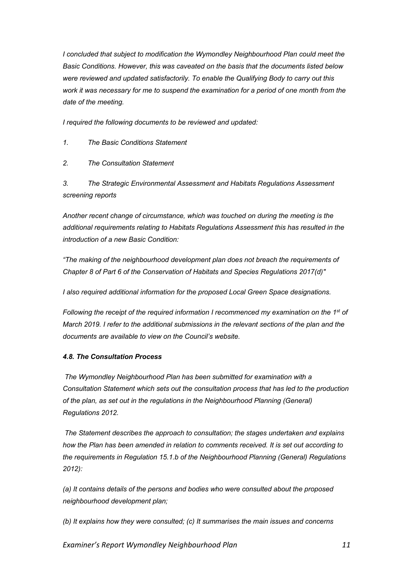*I concluded that subject to modification the Wymondley Neighbourhood Plan could meet the Basic Conditions. However, this was caveated on the basis that the documents listed below were reviewed and updated satisfactorily. To enable the Qualifying Body to carry out this work it was necessary for me to suspend the examination for a period of one month from the date of the meeting.*

*I required the following documents to be reviewed and updated:*

*1. The Basic Conditions Statement*

*2. The Consultation Statement*

*3. The Strategic Environmental Assessment and Habitats Regulations Assessment screening reports*

*Another recent change of circumstance, which was touched on during the meeting is the additional requirements relating to Habitats Regulations Assessment this has resulted in the introduction of a new Basic Condition:*

*"The making of the neighbourhood development plan does not breach the requirements of Chapter 8 of Part 6 of the Conservation of Habitats and Species Regulations 2017(d)"*

*I also required additional information for the proposed Local Green Space designations.* 

*Following the receipt of the required information I recommenced my examination on the 1st of March 2019. I refer to the additional submissions in the relevant sections of the plan and the documents are available to view on the Council's website.*

# *4.8. The Consultation Process*

*The Wymondley Neighbourhood Plan has been submitted for examination with a Consultation Statement which sets out the consultation process that has led to the production of the plan, as set out in the regulations in the Neighbourhood Planning (General) Regulations 2012.*

*The Statement describes the approach to consultation; the stages undertaken and explains how the Plan has been amended in relation to comments received. It is set out according to the requirements in Regulation 15.1.b of the Neighbourhood Planning (General) Regulations 2012):*

*(a) It contains details of the persons and bodies who were consulted about the proposed neighbourhood development plan;*

*(b) It explains how they were consulted; (c) It summarises the main issues and concerns*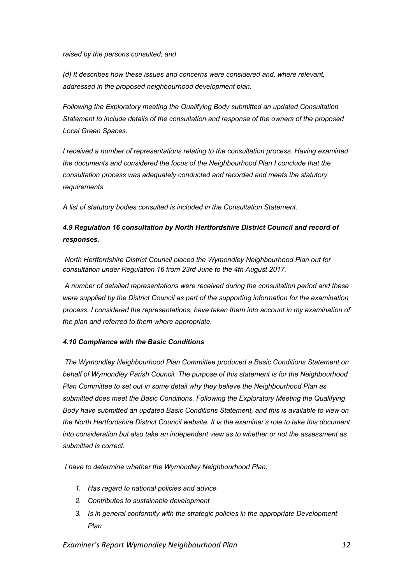*raised by the persons consulted; and*

*(d) It describes how these issues and concerns were considered and, where relevant, addressed in the proposed neighbourhood development plan.*

*Following the Exploratory meeting the Qualifying Body submitted an updated Consultation Statement to include details of the consultation and response of the owners of the proposed Local Green Spaces.*

*I received a number of representations relating to the consultation process. Having examined the documents and considered the focus of the Neighbourhood Plan I conclude that the consultation process was adequately conducted and recorded and meets the statutory requirements.*

*A list of statutory bodies consulted is included in the Consultation Statement.*

# *4.9 Regulation 16 consultation by North Hertfordshire District Council and record of responses.*

*North Hertfordshire District Council placed the Wymondley Neighbourhood Plan out for consultation under Regulation 16 from 23rd June to the 4th August 2017.*

*A number of detailed representations were received during the consultation period and these were supplied by the District Council as part of the supporting information for the examination process. I considered the representations, have taken them into account in my examination of the plan and referred to them where appropriate.* 

# *4.10 Compliance with the Basic Conditions*

*The Wymondley Neighbourhood Plan Committee produced a Basic Conditions Statement on behalf of Wymondley Parish Council. The purpose of this statement is for the Neighbourhood Plan Committee to set out in some detail why they believe the Neighbourhood Plan as submitted does meet the Basic Conditions. Following the Exploratory Meeting the Qualifying Body have submitted an updated Basic Conditions Statement, and this is available to view on the North Hertfordshire District Council website. It is the examiner's role to take this document into consideration but also take an independent view as to whether or not the assessment as submitted is correct.*

*I have to determine whether the Wymondley Neighbourhood Plan:* 

- *1. Has regard to national policies and advice*
- *2. Contributes to sustainable development*
- *3. Is in general conformity with the strategic policies in the appropriate Development Plan*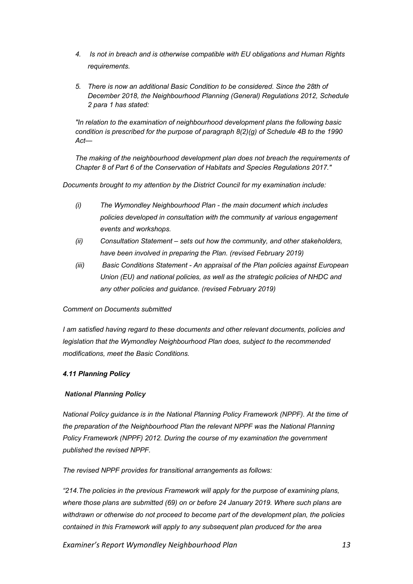- *4. Is not in breach and is otherwise compatible with EU obligations and Human Rights requirements.*
- *5. There is now an additional Basic Condition to be considered. Since the 28th of December 2018, the Neighbourhood Planning (General) Regulations 2012, Schedule 2 para 1 has stated:*

*"In relation to the examination of neighbourhood development plans the following basic condition is prescribed for the purpose of paragraph 8(2)(g) of Schedule 4B to the 1990 Act—*

*The making of the neighbourhood development plan does not breach the requirements of Chapter 8 of Part 6 of the Conservation of Habitats and Species Regulations 2017."*

*Documents brought to my attention by the District Council for my examination include:*

- *(i) The Wymondley Neighbourhood Plan - the main document which includes policies developed in consultation with the community at various engagement events and workshops.*
- *(ii) Consultation Statement – sets out how the community, and other stakeholders, have been involved in preparing the Plan. (revised February 2019)*
- *(iii) Basic Conditions Statement - An appraisal of the Plan policies against European Union (EU) and national policies, as well as the strategic policies of NHDC and any other policies and guidance. (revised February 2019)*

# *Comment on Documents submitted*

*I am satisfied having regard to these documents and other relevant documents, policies and legislation that the Wymondley Neighbourhood Plan does, subject to the recommended modifications, meet the Basic Conditions.*

# *4.11 Planning Policy*

# *National Planning Policy*

*National Policy guidance is in the National Planning Policy Framework (NPPF). At the time of the preparation of the Neighbourhood Plan the relevant NPPF was the National Planning Policy Framework (NPPF) 2012. During the course of my examination the government published the revised NPPF.*

*The revised NPPF provides for transitional arrangements as follows:*

*"214.The policies in the previous Framework will apply for the purpose of examining plans, where those plans are submitted (69) on or before 24 January 2019. Where such plans are withdrawn or otherwise do not proceed to become part of the development plan, the policies contained in this Framework will apply to any subsequent plan produced for the area*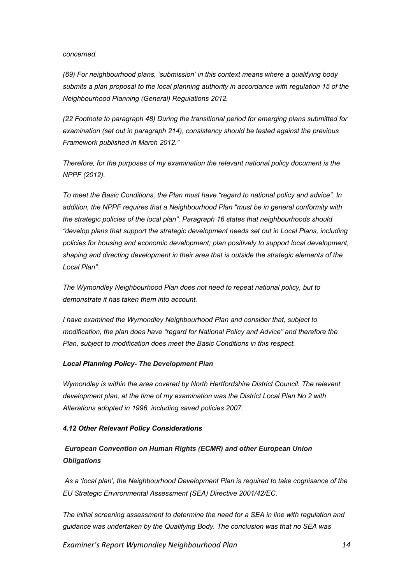#### *concerned.*

*(69) For neighbourhood plans, 'submission' in this context means where a qualifying body submits a plan proposal to the local planning authority in accordance with regulation 15 of the Neighbourhood Planning (General) Regulations 2012.*

*(22 Footnote to paragraph 48) During the transitional period for emerging plans submitted for examination (set out in paragraph 214), consistency should be tested against the previous Framework published in March 2012."*

*Therefore, for the purposes of my examination the relevant national policy document is the NPPF (2012).*

*To meet the Basic Conditions, the Plan must have "regard to national policy and advice". In addition, the NPPF requires that a Neighbourhood Plan "must be in general conformity with the strategic policies of the local plan". Paragraph 16 states that neighbourhoods should "develop plans that support the strategic development needs set out in Local Plans, including policies for housing and economic development; plan positively to support local development, shaping and directing development in their area that is outside the strategic elements of the Local Plan".*

*The Wymondley Neighbourhood Plan does not need to repeat national policy, but to demonstrate it has taken them into account.*

*I have examined the Wymondley Neighbourhood Plan and consider that, subject to modification, the plan does have "regard for National Policy and Advice" and therefore the Plan, subject to modification does meet the Basic Conditions in this respect.*

#### *Local Planning Policy- The Development Plan*

*Wymondley is within the area covered by North Hertfordshire District Council. The relevant development plan, at the time of my examination was the District Local Plan No 2 with Alterations adopted in 1996, including saved policies 2007.*

# *4.12 Other Relevant Policy Considerations*

# *European Convention on Human Rights (ECMR) and other European Union Obligations*

*As a 'local plan', the Neighbourhood Development Plan is required to take cognisance of the EU Strategic Environmental Assessment (SEA) Directive 2001/42/EC.* 

*The initial screening assessment to determine the need for a SEA in line with regulation and guidance was undertaken by the Qualifying Body. The conclusion was that no SEA was*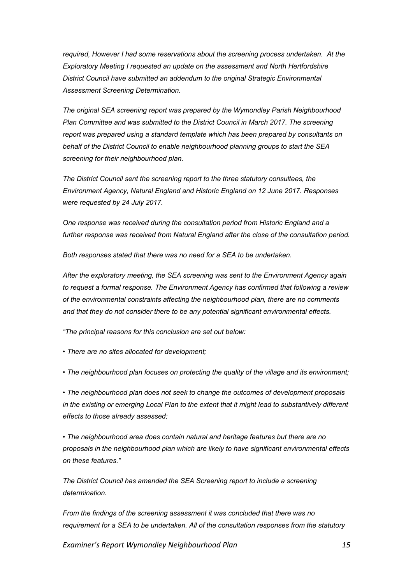*required, However I had some reservations about the screening process undertaken. At the Exploratory Meeting I requested an update on the assessment and North Hertfordshire District Council have submitted an addendum to the original Strategic Environmental Assessment Screening Determination.*

*The original SEA screening report was prepared by the Wymondley Parish Neighbourhood Plan Committee and was submitted to the District Council in March 2017. The screening report was prepared using a standard template which has been prepared by consultants on behalf of the District Council to enable neighbourhood planning groups to start the SEA screening for their neighbourhood plan.*

*The District Council sent the screening report to the three statutory consultees, the Environment Agency, Natural England and Historic England on 12 June 2017. Responses were requested by 24 July 2017.*

*One response was received during the consultation period from Historic England and a further response was received from Natural England after the close of the consultation period.*

*Both responses stated that there was no need for a SEA to be undertaken.*

*After the exploratory meeting, the SEA screening was sent to the Environment Agency again to request a formal response. The Environment Agency has confirmed that following a review of the environmental constraints affecting the neighbourhood plan, there are no comments and that they do not consider there to be any potential significant environmental effects.*

*"The principal reasons for this conclusion are set out below:*

*• There are no sites allocated for development;*

*• The neighbourhood plan focuses on protecting the quality of the village and its environment;*

*• The neighbourhood plan does not seek to change the outcomes of development proposals in the existing or emerging Local Plan to the extent that it might lead to substantively different effects to those already assessed;*

*• The neighbourhood area does contain natural and heritage features but there are no proposals in the neighbourhood plan which are likely to have significant environmental effects on these features."*

*The District Council has amended the SEA Screening report to include a screening determination.*

*From the findings of the screening assessment it was concluded that there was no requirement for a SEA to be undertaken. All of the consultation responses from the statutory*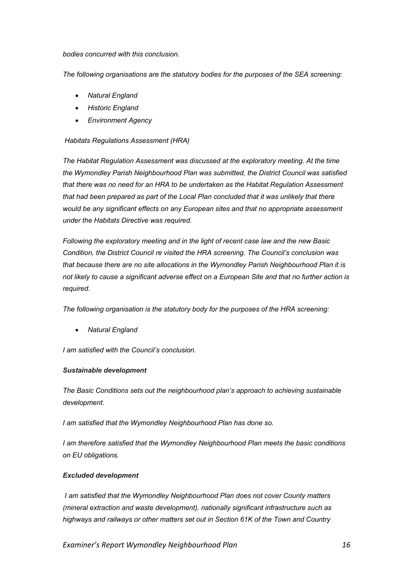*bodies concurred with this conclusion.*

*The following organisations are the statutory bodies for the purposes of the SEA screening:*

- *Natural England*
- *Historic England*
- *Environment Agency*

# *Habitats Regulations Assessment (HRA)*

*The Habitat Regulation Assessment was discussed at the exploratory meeting. At the time the Wymondley Parish Neighbourhood Plan was submitted, the District Council was satisfied that there was no need for an HRA to be undertaken as the Habitat Regulation Assessment that had been prepared as part of the Local Plan concluded that it was unlikely that there would be any significant effects on any European sites and that no appropriate assessment under the Habitats Directive was required.*

*Following the exploratory meeting and in the light of recent case law and the new Basic Condition, the District Council re visited the HRA screening. The Council's conclusion was that because there are no site allocations in the Wymondley Parish Neighbourhood Plan it is not likely to cause a significant adverse effect on a European Site and that no further action is required.* 

*The following organisation is the statutory body for the purposes of the HRA screening:*

• *Natural England* 

*I am satisfied with the Council's conclusion.*

# *Sustainable development*

*The Basic Conditions sets out the neighbourhood plan's approach to achieving sustainable development.*

*I am satisfied that the Wymondley Neighbourhood Plan has done so.*

*I am therefore satisfied that the Wymondley Neighbourhood Plan meets the basic conditions on EU obligations.* 

# *Excluded development*

*I am satisfied that the Wymondley Neighbourhood Plan does not cover County matters (mineral extraction and waste development), nationally significant infrastructure such as highways and railways or other matters set out in Section 61K of the Town and Country*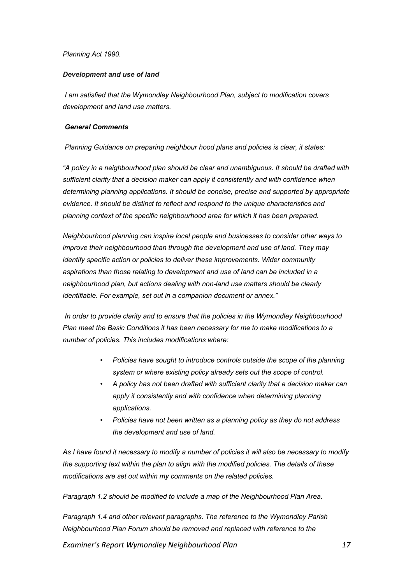# *Planning Act 1990.*

# *Development and use of land*

*I am satisfied that the Wymondley Neighbourhood Plan, subject to modification covers development and land use matters.*

# *General Comments*

*Planning Guidance on preparing neighbour hood plans and policies is clear, it states:*

*"A policy in a neighbourhood plan should be clear and unambiguous. It should be drafted with sufficient clarity that a decision maker can apply it consistently and with confidence when determining planning applications. It should be concise, precise and supported by appropriate evidence. It should be distinct to reflect and respond to the unique characteristics and planning context of the specific neighbourhood area for which it has been prepared.*

*Neighbourhood planning can inspire local people and businesses to consider other ways to improve their neighbourhood than through the development and use of land. They may identify specific action or policies to deliver these improvements. Wider community aspirations than those relating to development and use of land can be included in a neighbourhood plan, but actions dealing with non-land use matters should be clearly identifiable. For example, set out in a companion document or annex."*

*In order to provide clarity and to ensure that the policies in the Wymondley Neighbourhood Plan meet the Basic Conditions it has been necessary for me to make modifications to a number of policies. This includes modifications where:*

- *Policies have sought to introduce controls outside the scope of the planning system or where existing policy already sets out the scope of control.*
- *A policy has not been drafted with sufficient clarity that a decision maker can apply it consistently and with confidence when determining planning applications.*
- *Policies have not been written as a planning policy as they do not address the development and use of land.*

*As I have found it necessary to modify a number of policies it will also be necessary to modify the supporting text within the plan to align with the modified policies. The details of these modifications are set out within my comments on the related policies.* 

*Paragraph 1.2 should be modified to include a map of the Neighbourhood Plan Area.*

*Paragraph 1.4 and other relevant paragraphs. The reference to the Wymondley Parish Neighbourhood Plan Forum should be removed and replaced with reference to the*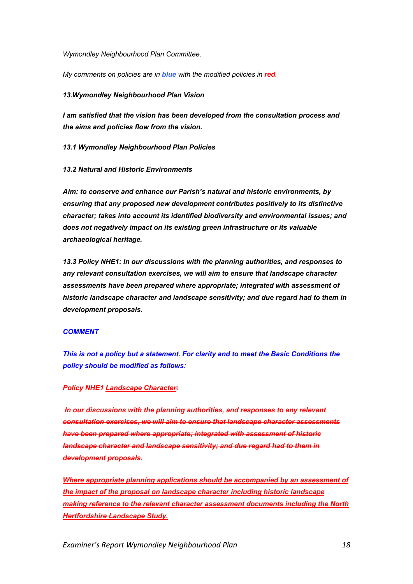*Wymondley Neighbourhood Plan Committee.*

*My comments on policies are in blue with the modified policies in red.*

# *13.Wymondley Neighbourhood Plan Vision*

*I am satisfied that the vision has been developed from the consultation process and the aims and policies flow from the vision.*

*13.1 Wymondley Neighbourhood Plan Policies*

*13.2 Natural and Historic Environments*

*Aim: to conserve and enhance our Parish's natural and historic environments, by ensuring that any proposed new development contributes positively to its distinctive character; takes into account its identified biodiversity and environmental issues; and does not negatively impact on its existing green infrastructure or its valuable archaeological heritage.*

*13.3 Policy NHE1: In our discussions with the planning authorities, and responses to any relevant consultation exercises, we will aim to ensure that landscape character assessments have been prepared where appropriate; integrated with assessment of historic landscape character and landscape sensitivity; and due regard had to them in development proposals.*

#### *COMMENT*

*This is not a policy but a statement. For clarity and to meet the Basic Conditions the policy should be modified as follows:*

# *Policy NHE1 Landscape Character:*

*In our discussions with the planning authorities, and responses to any relevant consultation exercises, we will aim to ensure that landscape character assessments have been prepared where appropriate; integrated with assessment of historic landscape character and landscape sensitivity; and due regard had to them in development proposals.*

*Where appropriate planning applications should be accompanied by an assessment of the impact of the proposal on landscape character including historic landscape making reference to the relevant character assessment documents including the North Hertfordshire Landscape Study.*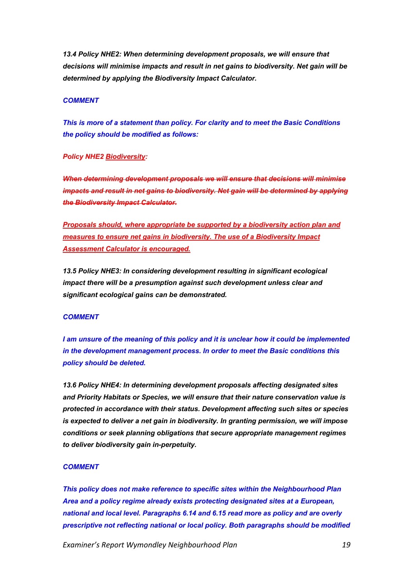*13.4 Policy NHE2: When determining development proposals, we will ensure that decisions will minimise impacts and result in net gains to biodiversity. Net gain will be determined by applying the Biodiversity Impact Calculator.*

#### *COMMENT*

*This is more of a statement than policy. For clarity and to meet the Basic Conditions the policy should be modified as follows:*

#### *Policy NHE2 Biodiversity:*

*When determining development proposals we will ensure that decisions will minimise impacts and result in net gains to biodiversity. Net gain will be determined by applying the Biodiversity Impact Calculator.*

*Proposals should, where appropriate be supported by a biodiversity action plan and measures to ensure net gains in biodiversity. The use of a Biodiversity Impact Assessment Calculator is encouraged.*

*13.5 Policy NHE3: In considering development resulting in significant ecological impact there will be a presumption against such development unless clear and significant ecological gains can be demonstrated.*

#### *COMMENT*

*I am unsure of the meaning of this policy and it is unclear how it could be implemented in the development management process. In order to meet the Basic conditions this policy should be deleted.*

*13.6 Policy NHE4: In determining development proposals affecting designated sites and Priority Habitats or Species, we will ensure that their nature conservation value is protected in accordance with their status. Development affecting such sites or species is expected to deliver a net gain in biodiversity. In granting permission, we will impose conditions or seek planning obligations that secure appropriate management regimes to deliver biodiversity gain in-perpetuity.*

#### *COMMENT*

*This policy does not make reference to specific sites within the Neighbourhood Plan Area and a policy regime already exists protecting designated sites at a European, national and local level. Paragraphs 6.14 and 6.15 read more as policy and are overly prescriptive not reflecting national or local policy. Both paragraphs should be modified*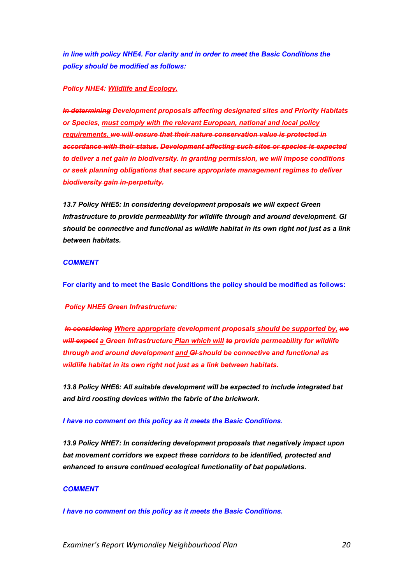*in line with policy NHE4. For clarity and in order to meet the Basic Conditions the policy should be modified as follows:*

# *Policy NHE4: Wildlife and Ecology.*

*In determining Development proposals affecting designated sites and Priority Habitats or Species, must comply with the relevant European, national and local policy requirements. we will ensure that their nature conservation value is protected in accordance with their status. Development affecting such sites or species is expected to deliver a net gain in biodiversity. In granting permission, we will impose conditions or seek planning obligations that secure appropriate management regimes to deliver biodiversity gain in-perpetuity.*

*13.7 Policy NHE5: In considering development proposals we will expect Green Infrastructure to provide permeability for wildlife through and around development. GI should be connective and functional as wildlife habitat in its own right not just as a link between habitats.*

# *COMMENT*

**For clarity and to meet the Basic Conditions the policy should be modified as follows:**

*Policy NHE5 Green Infrastructure:*

*In considering Where appropriate development proposals should be supported by, we will expect a Green Infrastructure Plan which will to provide permeability for wildlife through and around development and GI should be connective and functional as wildlife habitat in its own right not just as a link between habitats.*

*13.8 Policy NHE6: All suitable development will be expected to include integrated bat and bird roosting devices within the fabric of the brickwork.*

*I have no comment on this policy as it meets the Basic Conditions.*

*13.9 Policy NHE7: In considering development proposals that negatively impact upon bat movement corridors we expect these corridors to be identified, protected and enhanced to ensure continued ecological functionality of bat populations.*

# *COMMENT*

*I have no comment on this policy as it meets the Basic Conditions.*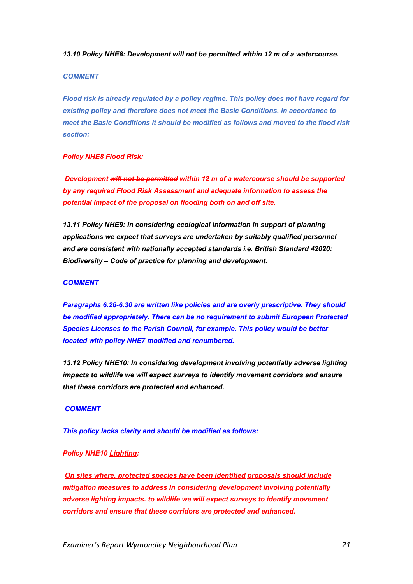*13.10 Policy NHE8: Development will not be permitted within 12 m of a watercourse.*

#### *COMMENT*

*Flood risk is already regulated by a policy regime. This policy does not have regard for existing policy and therefore does not meet the Basic Conditions. In accordance to meet the Basic Conditions it should be modified as follows and moved to the flood risk section:*

# *Policy NHE8 Flood Risk:*

*Development will not be permitted within 12 m of a watercourse should be supported by any required Flood Risk Assessment and adequate information to assess the potential impact of the proposal on flooding both on and off site.*

*13.11 Policy NHE9: In considering ecological information in support of planning applications we expect that surveys are undertaken by suitably qualified personnel and are consistent with nationally accepted standards i.e. British Standard 42020: Biodiversity – Code of practice for planning and development.*

#### *COMMENT*

*Paragraphs 6.26-6.30 are written like policies and are overly prescriptive. They should be modified appropriately. There can be no requirement to submit European Protected Species Licenses to the Parish Council, for example. This policy would be better located with policy NHE7 modified and renumbered.*

*13.12 Policy NHE10: In considering development involving potentially adverse lighting impacts to wildlife we will expect surveys to identify movement corridors and ensure that these corridors are protected and enhanced.*

#### *COMMENT*

*This policy lacks clarity and should be modified as follows:*

# *Policy NHE10 Lighting:*

*On sites where, protected species have been identified proposals should include mitigation measures to address In considering development involving potentially adverse lighting impacts. to wildlife we will expect surveys to identify movement corridors and ensure that these corridors are protected and enhanced.*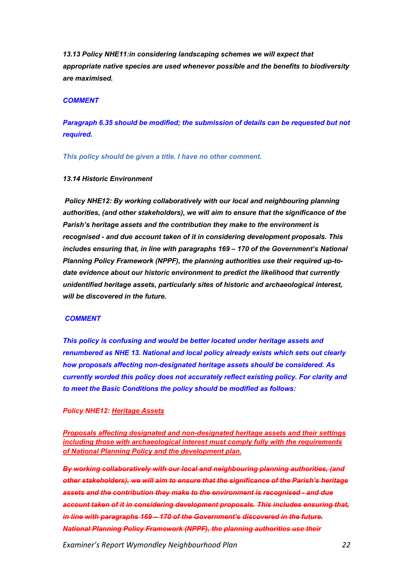*13.13 Policy NHE11:in considering landscaping schemes we will expect that appropriate native species are used whenever possible and the benefits to biodiversity are maximised.*

#### *COMMENT*

*Paragraph 6.35 should be modified; the submission of details can be requested but not required.*

*This policy should be given a title. I have no other comment.*

# *13.14 Historic Environment*

*Policy NHE12: By working collaboratively with our local and neighbouring planning authorities, (and other stakeholders), we will aim to ensure that the significance of the Parish's heritage assets and the contribution they make to the environment is recognised - and due account taken of it in considering development proposals. This includes ensuring that, in line with paragraphs 169 – 170 of the Government's National Planning Policy Framework (NPPF), the planning authorities use their required up-todate evidence about our historic environment to predict the likelihood that currently unidentified heritage assets, particularly sites of historic and archaeological interest, will be discovered in the future.*

#### *COMMENT*

*This policy is confusing and would be better located under heritage assets and renumbered as NHE 13. National and local policy already exists which sets out clearly how proposals affecting non-designated heritage assets should be considered. As currently worded this policy does not accurately reflect existing policy. For clarity and to meet the Basic Conditions the policy should be modified as follows:*

#### *Policy NHE12: Heritage Assets*

*Proposals affecting designated and non-designated heritage assets and their settings including those with archaeological interest must comply fully with the requirements of National Planning Policy and the development plan.*

*By working collaboratively with our local and neighbouring planning authorities, (and other stakeholders), we will aim to ensure that the significance of the Parish's heritage assets and the contribution they make to the environment is recognised - and due account taken of it in considering development proposals. This includes ensuring that, in line with paragraphs 169 – 170 of the Government's discovered in the future. National Planning Policy Framework (NPPF), the planning authorities use their*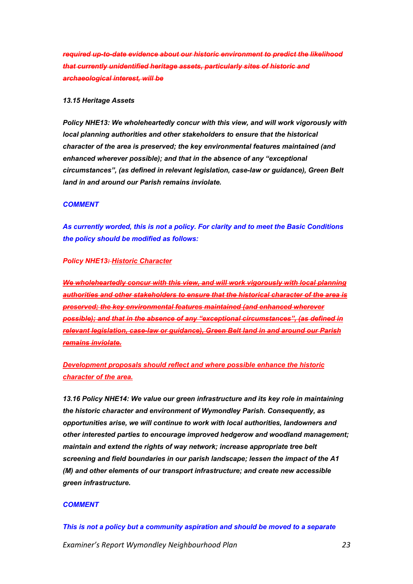*required up-to-date evidence about our historic environment to predict the likelihood that currently unidentified heritage assets, particularly sites of historic and archaeological interest, will be*

#### *13.15 Heritage Assets*

*Policy NHE13: We wholeheartedly concur with this view, and will work vigorously with local planning authorities and other stakeholders to ensure that the historical character of the area is preserved; the key environmental features maintained (and enhanced wherever possible); and that in the absence of any "exceptional circumstances", (as defined in relevant legislation, case-law or guidance), Green Belt land in and around our Parish remains inviolate.*

#### *COMMENT*

*As currently worded, this is not a policy. For clarity and to meet the Basic Conditions the policy should be modified as follows:*

### *Policy NHE13: Historic Character*

*We wholeheartedly concur with this view, and will work vigorously with local planning authorities and other stakeholders to ensure that the historical character of the area is preserved; the key environmental features maintained (and enhanced wherever possible); and that in the absence of any "exceptional circumstances", (as defined in relevant legislation, case-law or guidance), Green Belt land in and around our Parish remains inviolate.*

*Development proposals should reflect and where possible enhance the historic character of the area.* 

*13.16 Policy NHE14: We value our green infrastructure and its key role in maintaining the historic character and environment of Wymondley Parish. Consequently, as opportunities arise, we will continue to work with local authorities, landowners and other interested parties to encourage improved hedgerow and woodland management; maintain and extend the rights of way network; increase appropriate tree belt screening and field boundaries in our parish landscape; lessen the impact of the A1 (M) and other elements of our transport infrastructure; and create new accessible green infrastructure.*

#### *COMMENT*

*Examiner's Report Wymondley Neighbourhood Plan 23 This is not a policy but a community aspiration and should be moved to a separate*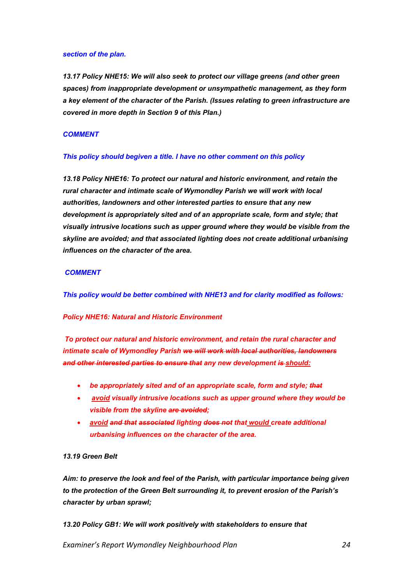#### *section of the plan.*

*13.17 Policy NHE15: We will also seek to protect our village greens (and other green spaces) from inappropriate development or unsympathetic management, as they form a key element of the character of the Parish. (Issues relating to green infrastructure are covered in more depth in Section 9 of this Plan.)*

#### *COMMENT*

## *This policy should begiven a title. I have no other comment on this policy*

*13.18 Policy NHE16: To protect our natural and historic environment, and retain the rural character and intimate scale of Wymondley Parish we will work with local authorities, landowners and other interested parties to ensure that any new development is appropriately sited and of an appropriate scale, form and style; that visually intrusive locations such as upper ground where they would be visible from the skyline are avoided; and that associated lighting does not create additional urbanising influences on the character of the area.*

## *COMMENT*

*This policy would be better combined with NHE13 and for clarity modified as follows:*

#### *Policy NHE16: Natural and Historic Environment*

*To protect our natural and historic environment, and retain the rural character and intimate scale of Wymondley Parish we will work with local authorities, landowners and other interested parties to ensure that any new development is should:*

- *be appropriately sited and of an appropriate scale, form and style; that*
- *avoid visually intrusive locations such as upper ground where they would be visible from the skyline are avoided;*
- *avoid and that associated lighting does not that would create additional urbanising influences on the character of the area.*

# *13.19 Green Belt*

*Aim: to preserve the look and feel of the Parish, with particular importance being given to the protection of the Green Belt surrounding it, to prevent erosion of the Parish's character by urban sprawl;*

*13.20 Policy GB1: We will work positively with stakeholders to ensure that*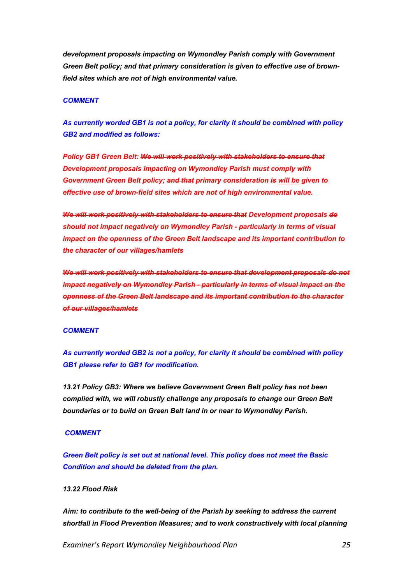*development proposals impacting on Wymondley Parish comply with Government Green Belt policy; and that primary consideration is given to effective use of brownfield sites which are not of high environmental value.*

### *COMMENT*

*As currently worded GB1 is not a policy, for clarity it should be combined with policy GB2 and modified as follows:* 

*Policy GB1 Green Belt: We will work positively with stakeholders to ensure that Development proposals impacting on Wymondley Parish must comply with Government Green Belt policy; and that primary consideration is will be given to effective use of brown-field sites which are not of high environmental value.*

*We will work positively with stakeholders to ensure that Development proposals do should not impact negatively on Wymondley Parish - particularly in terms of visual impact on the openness of the Green Belt landscape and its important contribution to the character of our villages/hamlets*

*We will work positively with stakeholders to ensure that development proposals do not impact negatively on Wymondley Parish - particularly in terms of visual impact on the openness of the Green Belt landscape and its important contribution to the character of our villages/hamlets*

#### *COMMENT*

*As currently worded GB2 is not a policy, for clarity it should be combined with policy GB1 please refer to GB1 for modification.*

*13.21 Policy GB3: Where we believe Government Green Belt policy has not been complied with, we will robustly challenge any proposals to change our Green Belt boundaries or to build on Green Belt land in or near to Wymondley Parish.*

#### *COMMENT*

*Green Belt policy is set out at national level. This policy does not meet the Basic Condition and should be deleted from the plan.*

# *13.22 Flood Risk*

*Aim: to contribute to the well-being of the Parish by seeking to address the current shortfall in Flood Prevention Measures; and to work constructively with local planning*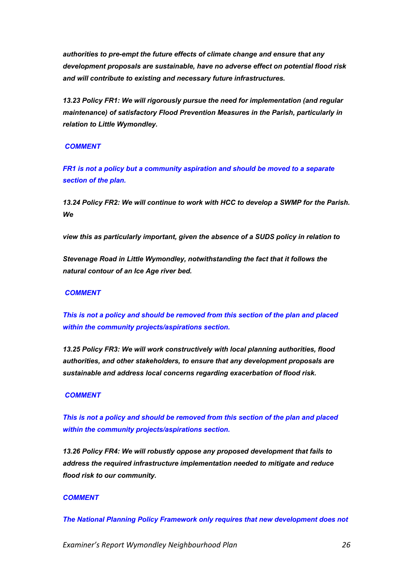*authorities to pre-empt the future effects of climate change and ensure that any development proposals are sustainable, have no adverse effect on potential flood risk and will contribute to existing and necessary future infrastructures.*

*13.23 Policy FR1: We will rigorously pursue the need for implementation (and regular maintenance) of satisfactory Flood Prevention Measures in the Parish, particularly in relation to Little Wymondley.*

#### *COMMENT*

*FR1 is not a policy but a community aspiration and should be moved to a separate section of the plan.*

*13.24 Policy FR2: We will continue to work with HCC to develop a SWMP for the Parish. We*

*view this as particularly important, given the absence of a SUDS policy in relation to*

*Stevenage Road in Little Wymondley, notwithstanding the fact that it follows the natural contour of an Ice Age river bed.*

# *COMMENT*

*This is not a policy and should be removed from this section of the plan and placed within the community projects/aspirations section.*

*13.25 Policy FR3: We will work constructively with local planning authorities, flood authorities, and other stakeholders, to ensure that any development proposals are sustainable and address local concerns regarding exacerbation of flood risk.*

#### *COMMENT*

*This is not a policy and should be removed from this section of the plan and placed within the community projects/aspirations section.*

*13.26 Policy FR4: We will robustly oppose any proposed development that fails to address the required infrastructure implementation needed to mitigate and reduce flood risk to our community.*

# *COMMENT*

*The National Planning Policy Framework only requires that new development does not*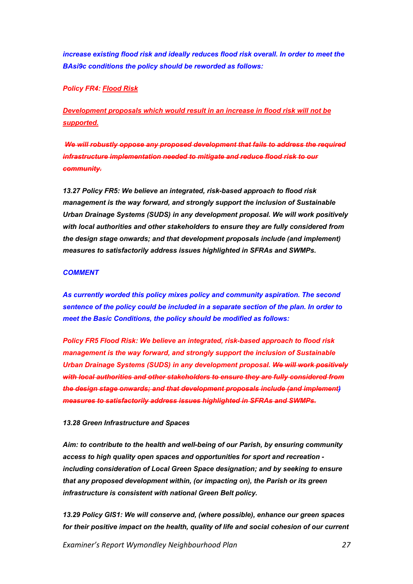*increase existing flood risk and ideally reduces flood risk overall. In order to meet the BAsi9c conditions the policy should be reworded as follows:*

# *Policy FR4: Flood Risk*

*Development proposals which would result in an increase in flood risk will not be supported.*

*We will robustly oppose any proposed development that fails to address the required infrastructure implementation needed to mitigate and reduce flood risk to our community.*

*13.27 Policy FR5: We believe an integrated, risk-based approach to flood risk management is the way forward, and strongly support the inclusion of Sustainable Urban Drainage Systems (SUDS) in any development proposal. We will work positively with local authorities and other stakeholders to ensure they are fully considered from the design stage onwards; and that development proposals include (and implement) measures to satisfactorily address issues highlighted in SFRAs and SWMPs.*

#### *COMMENT*

*As currently worded this policy mixes policy and community aspiration. The second sentence of the policy could be included in a separate section of the plan. In order to meet the Basic Conditions, the policy should be modified as follows:* 

*Policy FR5 Flood Risk: We believe an integrated, risk-based approach to flood risk management is the way forward, and strongly support the inclusion of Sustainable Urban Drainage Systems (SUDS) in any development proposal. We will work positively with local authorities and other stakeholders to ensure they are fully considered from the design stage onwards; and that development proposals include (and implement) measures to satisfactorily address issues highlighted in SFRAs and SWMPs.*

#### *13.28 Green Infrastructure and Spaces*

*Aim: to contribute to the health and well-being of our Parish, by ensuring community access to high quality open spaces and opportunities for sport and recreation including consideration of Local Green Space designation; and by seeking to ensure that any proposed development within, (or impacting on), the Parish or its green infrastructure is consistent with national Green Belt policy.*

*13.29 Policy GIS1: We will conserve and, (where possible), enhance our green spaces for their positive impact on the health, quality of life and social cohesion of our current*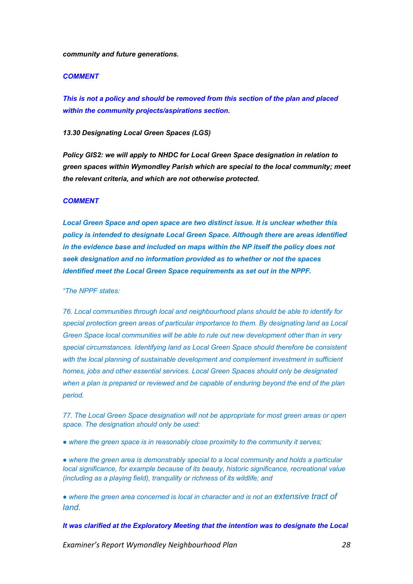#### *community and future generations.*

#### *COMMENT*

*This is not a policy and should be removed from this section of the plan and placed within the community projects/aspirations section.*

*13.30 Designating Local Green Spaces (LGS)*

*Policy GIS2: we will apply to NHDC for Local Green Space designation in relation to green spaces within Wymondley Parish which are special to the local community; meet the relevant criteria, and which are not otherwise protected.*

### *COMMENT*

*Local Green Space and open space are two distinct issue. It is unclear whether this policy is intended to designate Local Green Space. Although there are areas identified in the evidence base and included on maps within the NP itself the policy does not seek designation and no information provided as to whether or not the spaces identified meet the Local Green Space requirements as set out in the NPPF.* 

*"The NPPF states:*

*76. Local communities through local and neighbourhood plans should be able to identify for special protection green areas of particular importance to them. By designating land as Local Green Space local communities will be able to rule out new development other than in very special circumstances. Identifying land as Local Green Space should therefore be consistent* with the local planning of sustainable development and complement investment in sufficient *homes, jobs and other essential services. Local Green Spaces should only be designated when a plan is prepared or reviewed and be capable of enduring beyond the end of the plan period.*

*77. The Local Green Space designation will not be appropriate for most green areas or open space. The designation should only be used:*

*● where the green space is in reasonably close proximity to the community it serves;*

● where the green area is demonstrably special to a local community and holds a particular *local significance, for example because of its beauty, historic significance, recreational value (including as a playing field), tranquility or richness of its wildlife; and*

*● where the green area concerned is local in character and is not an extensive tract of land.*

*It was clarified at the Exploratory Meeting that the intention was to designate the Local*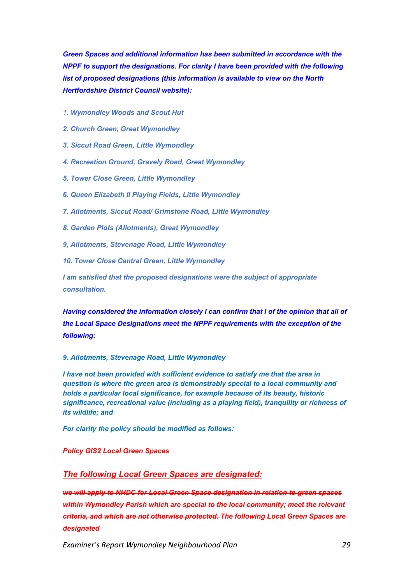*Green Spaces and additional information has been submitted in accordance with the NPPF to support the designations. For clarity I have been provided with the following list of proposed designations (this information is available to view on the North Hertfordshire District Council website):*

- *1, Wymondley Woods and Scout Hut*
- *2. Church Green, Great Wymondley*
- *3. Siccut Road Green, Little Wymondley*
- *4. Recreation Ground, Gravely Road, Great Wymondley*
- *5. Tower Close Green, Little Wymondley*
- *6. Queen Elizabeth II Playing Fields, Little Wymondley*
- *7. Allotments, Siccut Road/ Grimstone Road, Little Wymondley*
- *8. Garden Plots (Allotments), Great Wymondley*
- *9, Allotments, Stevenage Road, Little Wymondley*
- *10. Tower Close Central Green, Little Wymondley*

*I am satisfied that the proposed designations were the subject of appropriate consultation.*

*Having considered the information closely I can confirm that I of the opinion that all of the Local Space Designations meet the NPPF requirements with the exception of the following:*

#### *9. Allotments, Stevenage Road, Little Wymondley*

*I have not been provided with sufficient evidence to satisfy me that the area in question is where the green area is demonstrably special to a local community and holds a particular local significance, for example because of its beauty, historic significance, recreational value (including as a playing field), tranquility or richness of its wildlife; and*

*For clarity the policy should be modified as follows:*

# *Policy GIS2 Local Green Spaces*

# *The following Local Green Spaces are designated:*

*we will apply to NHDC for Local Green Space designation in relation to green spaces within Wymondley Parish which are special to the local community; meet the relevant criteria, and which are not otherwise protected. The following Local Green Spaces are designated*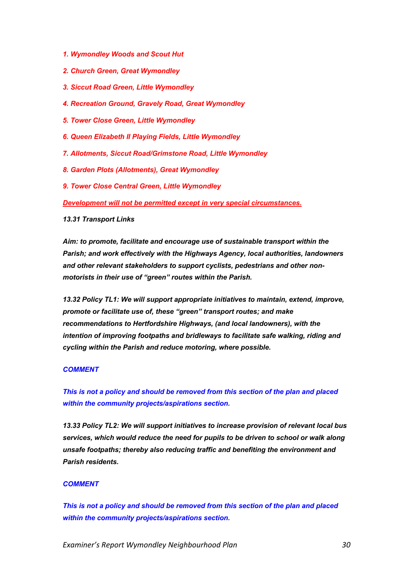- *1. Wymondley Woods and Scout Hut*
- *2. Church Green, Great Wymondley*
- *3. Siccut Road Green, Little Wymondley*
- *4. Recreation Ground, Gravely Road, Great Wymondley*
- *5. Tower Close Green, Little Wymondley*
- *6. Queen Elizabeth II Playing Fields, Little Wymondley*
- *7. Allotments, Siccut Road/Grimstone Road, Little Wymondley*
- *8. Garden Plots (Allotments), Great Wymondley*
- *9. Tower Close Central Green, Little Wymondley*

*Development will not be permitted except in very special circumstances.*

#### *13.31 Transport Links*

*Aim: to promote, facilitate and encourage use of sustainable transport within the Parish; and work effectively with the Highways Agency, local authorities, landowners and other relevant stakeholders to support cyclists, pedestrians and other nonmotorists in their use of "green" routes within the Parish.*

*13.32 Policy TL1: We will support appropriate initiatives to maintain, extend, improve, promote or facilitate use of, these "green" transport routes; and make recommendations to Hertfordshire Highways, (and local landowners), with the intention of improving footpaths and bridleways to facilitate safe walking, riding and cycling within the Parish and reduce motoring, where possible.*

# *COMMENT*

# *This is not a policy and should be removed from this section of the plan and placed within the community projects/aspirations section.*

*13.33 Policy TL2: We will support initiatives to increase provision of relevant local bus services, which would reduce the need for pupils to be driven to school or walk along unsafe footpaths; thereby also reducing traffic and benefiting the environment and Parish residents.*

# *COMMENT*

*This is not a policy and should be removed from this section of the plan and placed within the community projects/aspirations section.*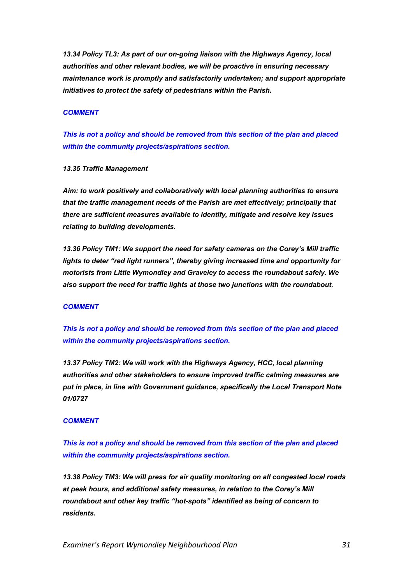*13.34 Policy TL3: As part of our on-going liaison with the Highways Agency, local authorities and other relevant bodies, we will be proactive in ensuring necessary maintenance work is promptly and satisfactorily undertaken; and support appropriate initiatives to protect the safety of pedestrians within the Parish.*

### *COMMENT*

*This is not a policy and should be removed from this section of the plan and placed within the community projects/aspirations section.*

## *13.35 Traffic Management*

*Aim: to work positively and collaboratively with local planning authorities to ensure that the traffic management needs of the Parish are met effectively; principally that there are sufficient measures available to identify, mitigate and resolve key issues relating to building developments.*

*13.36 Policy TM1: We support the need for safety cameras on the Corey's Mill traffic lights to deter "red light runners", thereby giving increased time and opportunity for motorists from Little Wymondley and Graveley to access the roundabout safely. We also support the need for traffic lights at those two junctions with the roundabout.*

#### *COMMENT*

*This is not a policy and should be removed from this section of the plan and placed within the community projects/aspirations section.*

*13.37 Policy TM2: We will work with the Highways Agency, HCC, local planning authorities and other stakeholders to ensure improved traffic calming measures are put in place, in line with Government guidance, specifically the Local Transport Note 01/0727*

#### *COMMENT*

*This is not a policy and should be removed from this section of the plan and placed within the community projects/aspirations section.*

*13.38 Policy TM3: We will press for air quality monitoring on all congested local roads at peak hours, and additional safety measures, in relation to the Corey's Mill roundabout and other key traffic "hot-spots" identified as being of concern to residents.*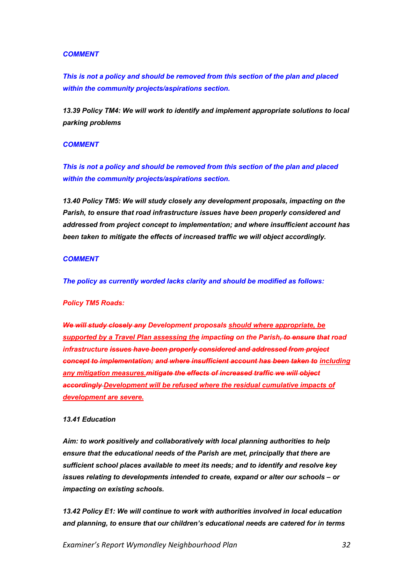## *COMMENT*

*This is not a policy and should be removed from this section of the plan and placed within the community projects/aspirations section.*

*13.39 Policy TM4: We will work to identify and implement appropriate solutions to local parking problems*

#### *COMMENT*

*This is not a policy and should be removed from this section of the plan and placed within the community projects/aspirations section.*

*13.40 Policy TM5: We will study closely any development proposals, impacting on the Parish, to ensure that road infrastructure issues have been properly considered and addressed from project concept to implementation; and where insufficient account has been taken to mitigate the effects of increased traffic we will object accordingly.*

#### *COMMENT*

*The policy as currently worded lacks clarity and should be modified as follows:*

#### *Policy TM5 Roads:*

*We will study closely any Development proposals should where appropriate, be supported by a Travel Plan assessing the impacting on the Parish, to ensure that road infrastructure issues have been properly considered and addressed from project concept to implementation; and where insufficient account has been taken to including any mitigation measures.mitigate the effects of increased traffic we will object accordingly Development will be refused where the residual cumulative impacts of development are severe.*

#### *13.41 Education*

*Aim: to work positively and collaboratively with local planning authorities to help ensure that the educational needs of the Parish are met, principally that there are sufficient school places available to meet its needs; and to identify and resolve key issues relating to developments intended to create, expand or alter our schools – or impacting on existing schools.*

*13.42 Policy E1: We will continue to work with authorities involved in local education and planning, to ensure that our children's educational needs are catered for in terms*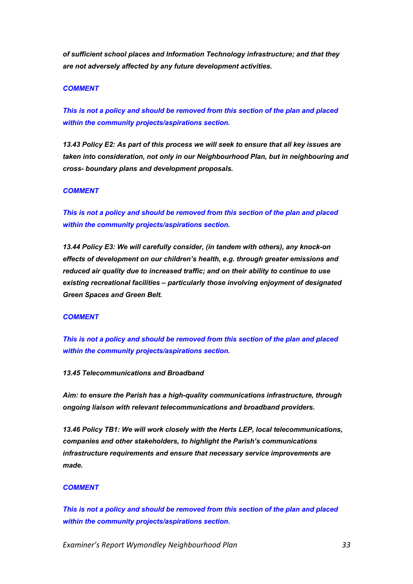*of sufficient school places and Information Technology infrastructure; and that they are not adversely affected by any future development activities.*

#### *COMMENT*

*This is not a policy and should be removed from this section of the plan and placed within the community projects/aspirations section.*

*13.43 Policy E2: As part of this process we will seek to ensure that all key issues are taken into consideration, not only in our Neighbourhood Plan, but in neighbouring and cross- boundary plans and development proposals.*

#### *COMMENT*

*This is not a policy and should be removed from this section of the plan and placed within the community projects/aspirations section.*

*13.44 Policy E3: We will carefully consider, (in tandem with others), any knock-on effects of development on our children's health, e.g. through greater emissions and reduced air quality due to increased traffic; and on their ability to continue to use existing recreational facilities – particularly those involving enjoyment of designated Green Spaces and Green Belt.*

## *COMMENT*

*This is not a policy and should be removed from this section of the plan and placed within the community projects/aspirations section.*

# *13.45 Telecommunications and Broadband*

*Aim: to ensure the Parish has a high-quality communications infrastructure, through ongoing liaison with relevant telecommunications and broadband providers.*

*13.46 Policy TB1: We will work closely with the Herts LEP, local telecommunications, companies and other stakeholders, to highlight the Parish's communications infrastructure requirements and ensure that necessary service improvements are made.*

#### *COMMENT*

*This is not a policy and should be removed from this section of the plan and placed within the community projects/aspirations section.*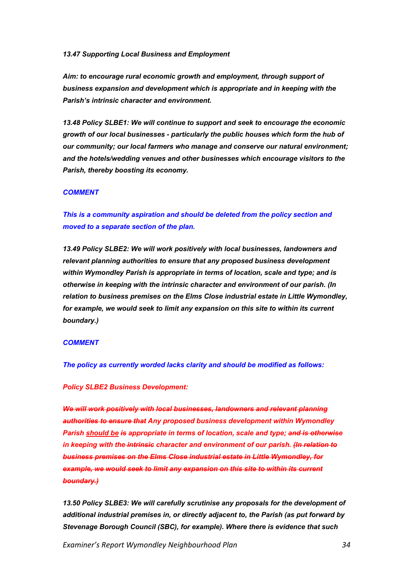#### *13.47 Supporting Local Business and Employment*

*Aim: to encourage rural economic growth and employment, through support of business expansion and development which is appropriate and in keeping with the Parish's intrinsic character and environment.*

*13.48 Policy SLBE1: We will continue to support and seek to encourage the economic growth of our local businesses - particularly the public houses which form the hub of our community; our local farmers who manage and conserve our natural environment; and the hotels/wedding venues and other businesses which encourage visitors to the Parish, thereby boosting its economy.*

#### *COMMENT*

*This is a community aspiration and should be deleted from the policy section and moved to a separate section of the plan.*

*13.49 Policy SLBE2: We will work positively with local businesses, landowners and relevant planning authorities to ensure that any proposed business development within Wymondley Parish is appropriate in terms of location, scale and type; and is otherwise in keeping with the intrinsic character and environment of our parish. (In relation to business premises on the Elms Close industrial estate in Little Wymondley, for example, we would seek to limit any expansion on this site to within its current boundary.)*

#### *COMMENT*

*The policy as currently worded lacks clarity and should be modified as follows:*

#### *Policy SLBE2 Business Development:*

*We will work positively with local businesses, landowners and relevant planning authorities to ensure that Any proposed business development within Wymondley Parish should be is appropriate in terms of location, scale and type; and is otherwise in keeping with the intrinsic character and environment of our parish. (In relation to business premises on the Elms Close industrial estate in Little Wymondley, for example, we would seek to limit any expansion on this site to within its current boundary.)*

13.50 Policy SLBE3: We will carefully scrutinise any proposals for the development of *additional industrial premises in, or directly adjacent to, the Parish (as put forward by Stevenage Borough Council (SBC), for example). Where there is evidence that such*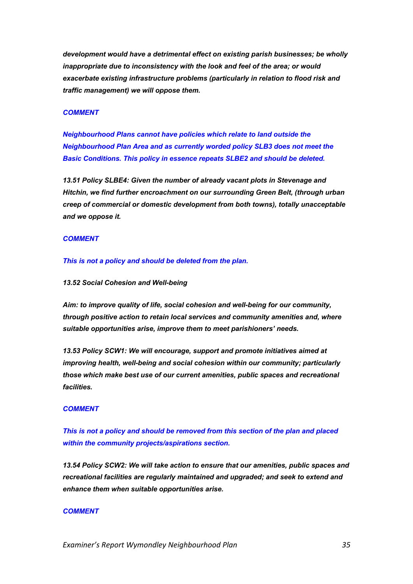*development would have a detrimental effect on existing parish businesses; be wholly inappropriate due to inconsistency with the look and feel of the area; or would exacerbate existing infrastructure problems (particularly in relation to flood risk and traffic management) we will oppose them.*

### *COMMENT*

*Neighbourhood Plans cannot have policies which relate to land outside the Neighbourhood Plan Area and as currently worded policy SLB3 does not meet the Basic Conditions. This policy in essence repeats SLBE2 and should be deleted.* 

*13.51 Policy SLBE4: Given the number of already vacant plots in Stevenage and Hitchin, we find further encroachment on our surrounding Green Belt, (through urban creep of commercial or domestic development from both towns), totally unacceptable and we oppose it.*

## *COMMENT*

*This is not a policy and should be deleted from the plan.*

#### *13.52 Social Cohesion and Well-being*

*Aim: to improve quality of life, social cohesion and well-being for our community, through positive action to retain local services and community amenities and, where suitable opportunities arise, improve them to meet parishioners' needs.*

*13.53 Policy SCW1: We will encourage, support and promote initiatives aimed at improving health, well-being and social cohesion within our community; particularly those which make best use of our current amenities, public spaces and recreational facilities.*

#### *COMMENT*

*This is not a policy and should be removed from this section of the plan and placed within the community projects/aspirations section.*

*13.54 Policy SCW2: We will take action to ensure that our amenities, public spaces and recreational facilities are regularly maintained and upgraded; and seek to extend and enhance them when suitable opportunities arise.*

#### *COMMENT*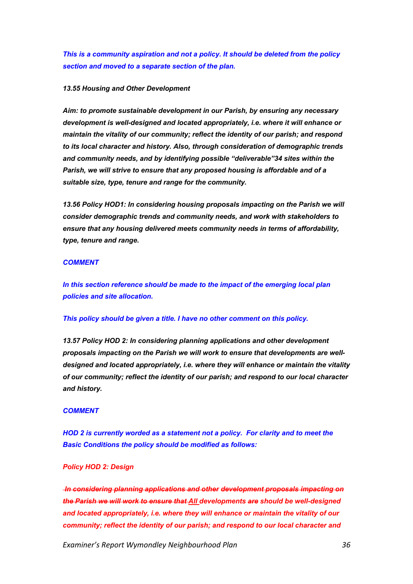*This is a community aspiration and not a policy. It should be deleted from the policy section and moved to a separate section of the plan.*

#### *13.55 Housing and Other Development*

*Aim: to promote sustainable development in our Parish, by ensuring any necessary development is well-designed and located appropriately, i.e. where it will enhance or maintain the vitality of our community; reflect the identity of our parish; and respond to its local character and history. Also, through consideration of demographic trends and community needs, and by identifying possible "deliverable"34 sites within the Parish, we will strive to ensure that any proposed housing is affordable and of a suitable size, type, tenure and range for the community.*

13.56 Policy HOD1: In considering housing proposals impacting on the Parish we will *consider demographic trends and community needs, and work with stakeholders to ensure that any housing delivered meets community needs in terms of affordability, type, tenure and range.*

#### *COMMENT*

*In this section reference should be made to the impact of the emerging local plan policies and site allocation.*

#### *This policy should be given a title. I have no other comment on this policy.*

*13.57 Policy HOD 2: In considering planning applications and other development proposals impacting on the Parish we will work to ensure that developments are welldesigned and located appropriately, i.e. where they will enhance or maintain the vitality of our community; reflect the identity of our parish; and respond to our local character and history.*

#### *COMMENT*

*HOD 2 is currently worded as a statement not a policy. For clarity and to meet the Basic Conditions the policy should be modified as follows:*

# *Policy HOD 2: Design*

*In considering planning applications and other development proposals impacting on the Parish we will work to ensure that All developments are should be well-designed and located appropriately, i.e. where they will enhance or maintain the vitality of our community; reflect the identity of our parish; and respond to our local character and*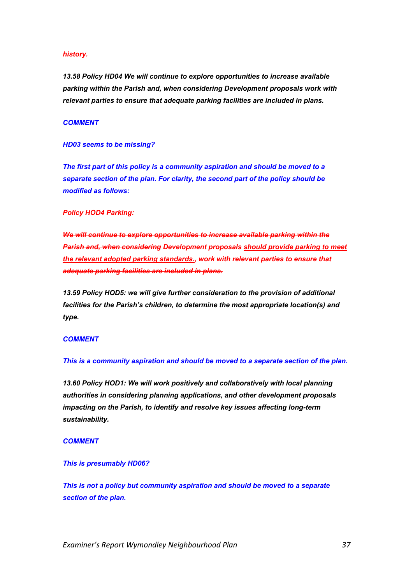#### *history.*

*13.58 Policy HD04 We will continue to explore opportunities to increase available parking within the Parish and, when considering Development proposals work with relevant parties to ensure that adequate parking facilities are included in plans.*

#### *COMMENT*

#### *HD03 seems to be missing?*

*The first part of this policy is a community aspiration and should be moved to a separate section of the plan. For clarity, the second part of the policy should be modified as follows:*

#### *Policy HOD4 Parking:*

*We will continue to explore opportunities to increase available parking within the Parish and, when considering Development proposals should provide parking to meet the relevant adopted parking standards., work with relevant parties to ensure that adequate parking facilities are included in plans.*

*13.59 Policy HOD5: we will give further consideration to the provision of additional facilities for the Parish's children, to determine the most appropriate location(s) and type.*

#### *COMMENT*

#### *This is a community aspiration and should be moved to a separate section of the plan.*

*13.60 Policy HOD1: We will work positively and collaboratively with local planning authorities in considering planning applications, and other development proposals impacting on the Parish, to identify and resolve key issues affecting long-term sustainability.*

#### *COMMENT*

#### *This is presumably HD06?*

*This is not a policy but community aspiration and should be moved to a separate section of the plan.*